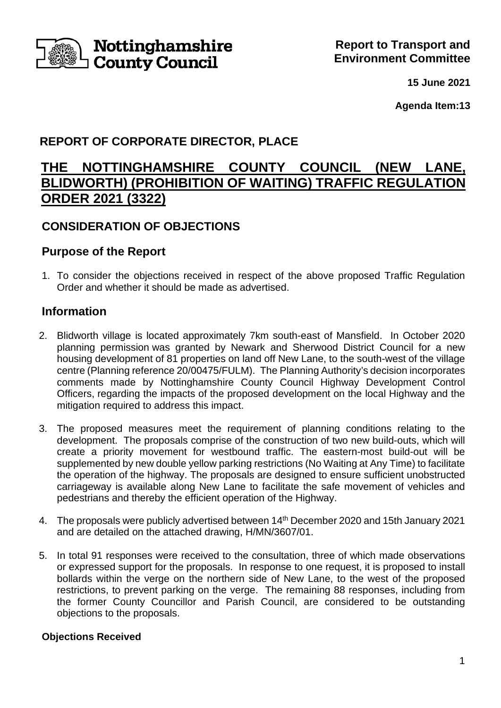

**15 June 2021**

**Agenda Item:13**

# **REPORT OF CORPORATE DIRECTOR, PLACE**

# **THE NOTTINGHAMSHIRE COUNTY COUNCIL (NEW LANE, BLIDWORTH) (PROHIBITION OF WAITING) TRAFFIC REGULATION ORDER 2021 (3322)**

# **CONSIDERATION OF OBJECTIONS**

# **Purpose of the Report**

1. To consider the objections received in respect of the above proposed Traffic Regulation Order and whether it should be made as advertised.

# **Information**

- 2. Blidworth village is located approximately 7km south-east of Mansfield. In October 2020 planning permission was granted by Newark and Sherwood District Council for a new housing development of 81 properties on land off New Lane, to the south-west of the village centre (Planning reference 20/00475/FULM). The Planning Authority's decision incorporates comments made by Nottinghamshire County Council Highway Development Control Officers, regarding the impacts of the proposed development on the local Highway and the mitigation required to address this impact.
- 3. The proposed measures meet the requirement of planning conditions relating to the development. The proposals comprise of the construction of two new build-outs, which will create a priority movement for westbound traffic. The eastern-most build-out will be supplemented by new double yellow parking restrictions (No Waiting at Any Time) to facilitate the operation of the highway. The proposals are designed to ensure sufficient unobstructed carriageway is available along New Lane to facilitate the safe movement of vehicles and pedestrians and thereby the efficient operation of the Highway.
- 4. The proposals were publicly advertised between 14th December 2020 and 15th January 2021 and are detailed on the attached drawing, H/MN/3607/01.
- 5. In total 91 responses were received to the consultation, three of which made observations or expressed support for the proposals. In response to one request, it is proposed to install bollards within the verge on the northern side of New Lane, to the west of the proposed restrictions, to prevent parking on the verge. The remaining 88 responses, including from the former County Councillor and Parish Council, are considered to be outstanding objections to the proposals.

# **Objections Received**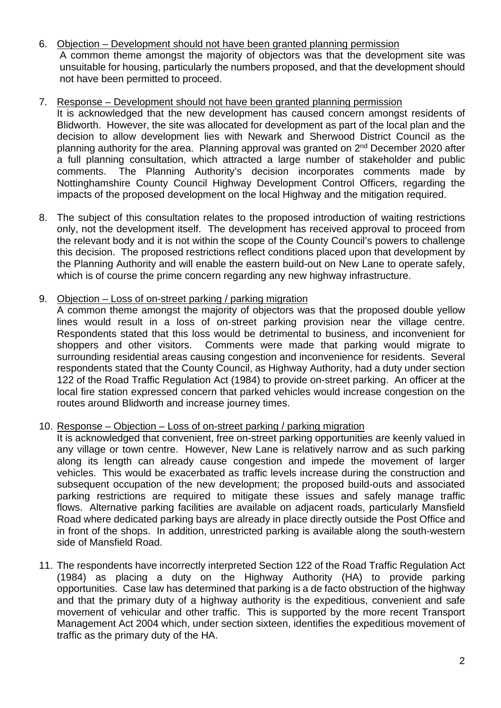- 6. Objection Development should not have been granted planning permission A common theme amongst the majority of objectors was that the development site was unsuitable for housing, particularly the numbers proposed, and that the development should not have been permitted to proceed.
- 7. Response Development should not have been granted planning permission It is acknowledged that the new development has caused concern amongst residents of Blidworth. However, the site was allocated for development as part of the local plan and the decision to allow development lies with Newark and Sherwood District Council as the planning authority for the area. Planning approval was granted on  $2<sup>nd</sup>$  December 2020 after a full planning consultation, which attracted a large number of stakeholder and public comments. The Planning Authority's decision incorporates comments made by Nottinghamshire County Council Highway Development Control Officers, regarding the impacts of the proposed development on the local Highway and the mitigation required.
- 8. The subject of this consultation relates to the proposed introduction of waiting restrictions only, not the development itself. The development has received approval to proceed from the relevant body and it is not within the scope of the County Council's powers to challenge this decision. The proposed restrictions reflect conditions placed upon that development by the Planning Authority and will enable the eastern build-out on New Lane to operate safely, which is of course the prime concern regarding any new highway infrastructure.
- 9. Objection Loss of on-street parking / parking migration

A common theme amongst the majority of objectors was that the proposed double yellow lines would result in a loss of on-street parking provision near the village centre. Respondents stated that this loss would be detrimental to business, and inconvenient for shoppers and other visitors. Comments were made that parking would migrate to surrounding residential areas causing congestion and inconvenience for residents. Several respondents stated that the County Council, as Highway Authority, had a duty under section 122 of the Road Traffic Regulation Act (1984) to provide on-street parking. An officer at the local fire station expressed concern that parked vehicles would increase congestion on the routes around Blidworth and increase journey times.

10. Response – Objection – Loss of on-street parking / parking migration

It is acknowledged that convenient, free on-street parking opportunities are keenly valued in any village or town centre. However, New Lane is relatively narrow and as such parking along its length can already cause congestion and impede the movement of larger vehicles. This would be exacerbated as traffic levels increase during the construction and subsequent occupation of the new development; the proposed build-outs and associated parking restrictions are required to mitigate these issues and safely manage traffic flows. Alternative parking facilities are available on adjacent roads, particularly Mansfield Road where dedicated parking bays are already in place directly outside the Post Office and in front of the shops. In addition, unrestricted parking is available along the south-western side of Mansfield Road.

11. The respondents have incorrectly interpreted Section 122 of the Road Traffic Regulation Act (1984) as placing a duty on the Highway Authority (HA) to provide parking opportunities. Case law has determined that parking is a de facto obstruction of the highway and that the primary duty of a highway authority is the expeditious, convenient and safe movement of vehicular and other traffic. This is supported by the more recent Transport Management Act 2004 which, under section sixteen, identifies the expeditious movement of traffic as the primary duty of the HA.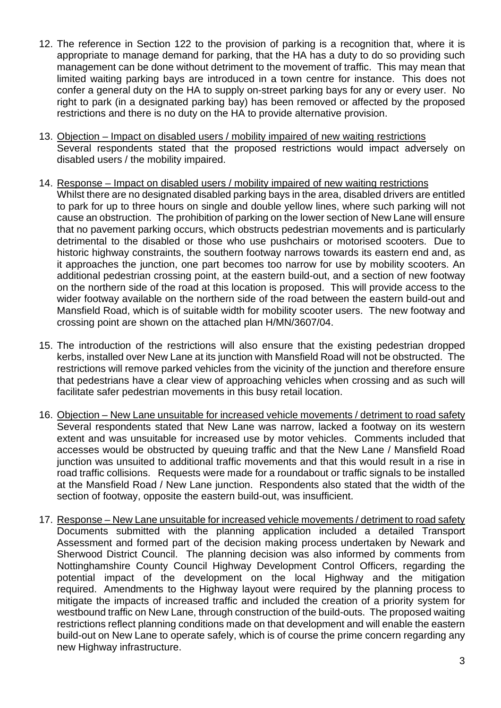- 12. The reference in Section 122 to the provision of parking is a recognition that, where it is appropriate to manage demand for parking, that the HA has a duty to do so providing such management can be done without detriment to the movement of traffic. This may mean that limited waiting parking bays are introduced in a town centre for instance. This does not confer a general duty on the HA to supply on-street parking bays for any or every user. No right to park (in a designated parking bay) has been removed or affected by the proposed restrictions and there is no duty on the HA to provide alternative provision.
- 13. Objection Impact on disabled users / mobility impaired of new waiting restrictions Several respondents stated that the proposed restrictions would impact adversely on disabled users / the mobility impaired.
- 14. Response Impact on disabled users / mobility impaired of new waiting restrictions Whilst there are no designated disabled parking bays in the area, disabled drivers are entitled to park for up to three hours on single and double yellow lines, where such parking will not cause an obstruction. The prohibition of parking on the lower section of New Lane will ensure that no pavement parking occurs, which obstructs pedestrian movements and is particularly detrimental to the disabled or those who use pushchairs or motorised scooters. Due to historic highway constraints, the southern footway narrows towards its eastern end and, as it approaches the junction, one part becomes too narrow for use by mobility scooters. An additional pedestrian crossing point, at the eastern build-out, and a section of new footway on the northern side of the road at this location is proposed. This will provide access to the wider footway available on the northern side of the road between the eastern build-out and Mansfield Road, which is of suitable width for mobility scooter users. The new footway and crossing point are shown on the attached plan H/MN/3607/04.
- 15. The introduction of the restrictions will also ensure that the existing pedestrian dropped kerbs, installed over New Lane at its junction with Mansfield Road will not be obstructed. The restrictions will remove parked vehicles from the vicinity of the junction and therefore ensure that pedestrians have a clear view of approaching vehicles when crossing and as such will facilitate safer pedestrian movements in this busy retail location.
- 16. Objection New Lane unsuitable for increased vehicle movements / detriment to road safety Several respondents stated that New Lane was narrow, lacked a footway on its western extent and was unsuitable for increased use by motor vehicles. Comments included that accesses would be obstructed by queuing traffic and that the New Lane / Mansfield Road junction was unsuited to additional traffic movements and that this would result in a rise in road traffic collisions. Requests were made for a roundabout or traffic signals to be installed at the Mansfield Road / New Lane junction. Respondents also stated that the width of the section of footway, opposite the eastern build-out, was insufficient.
- 17. Response New Lane unsuitable for increased vehicle movements / detriment to road safety Documents submitted with the planning application included a detailed Transport Assessment and formed part of the decision making process undertaken by Newark and Sherwood District Council. The planning decision was also informed by comments from Nottinghamshire County Council Highway Development Control Officers, regarding the potential impact of the development on the local Highway and the mitigation required. Amendments to the Highway layout were required by the planning process to mitigate the impacts of increased traffic and included the creation of a priority system for westbound traffic on New Lane, through construction of the build-outs. The proposed waiting restrictions reflect planning conditions made on that development and will enable the eastern build-out on New Lane to operate safely, which is of course the prime concern regarding any new Highway infrastructure.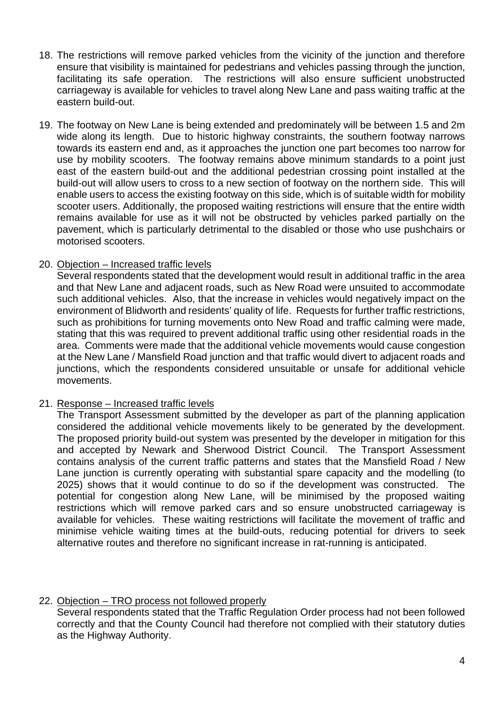- 18. The restrictions will remove parked vehicles from the vicinity of the junction and therefore ensure that visibility is maintained for pedestrians and vehicles passing through the junction, facilitating its safe operation. The restrictions will also ensure sufficient unobstructed carriageway is available for vehicles to travel along New Lane and pass waiting traffic at the eastern build-out.
- 19. The footway on New Lane is being extended and predominately will be between 1.5 and 2m wide along its length. Due to historic highway constraints, the southern footway narrows towards its eastern end and, as it approaches the junction one part becomes too narrow for use by mobility scooters. The footway remains above minimum standards to a point just east of the eastern build-out and the additional pedestrian crossing point installed at the build-out will allow users to cross to a new section of footway on the northern side. This will enable users to access the existing footway on this side, which is of suitable width for mobility scooter users. Additionally, the proposed waiting restrictions will ensure that the entire width remains available for use as it will not be obstructed by vehicles parked partially on the pavement, which is particularly detrimental to the disabled or those who use pushchairs or motorised scooters.

#### 20. Objection – Increased traffic levels

Several respondents stated that the development would result in additional traffic in the area and that New Lane and adjacent roads, such as New Road were unsuited to accommodate such additional vehicles. Also, that the increase in vehicles would negatively impact on the environment of Blidworth and residents' quality of life. Requests for further traffic restrictions, such as prohibitions for turning movements onto New Road and traffic calming were made, stating that this was required to prevent additional traffic using other residential roads in the area. Comments were made that the additional vehicle movements would cause congestion at the New Lane / Mansfield Road junction and that traffic would divert to adjacent roads and junctions, which the respondents considered unsuitable or unsafe for additional vehicle movements.

#### 21. Response – Increased traffic levels

The Transport Assessment submitted by the developer as part of the planning application considered the additional vehicle movements likely to be generated by the development. The proposed priority build-out system was presented by the developer in mitigation for this and accepted by Newark and Sherwood District Council. The Transport Assessment contains analysis of the current traffic patterns and states that the Mansfield Road / New Lane junction is currently operating with substantial spare capacity and the modelling (to 2025) shows that it would continue to do so if the development was constructed. The potential for congestion along New Lane, will be minimised by the proposed waiting restrictions which will remove parked cars and so ensure unobstructed carriageway is available for vehicles. These waiting restrictions will facilitate the movement of traffic and minimise vehicle waiting times at the build-outs, reducing potential for drivers to seek alternative routes and therefore no significant increase in rat-running is anticipated.

#### 22. Objection – TRO process not followed properly

Several respondents stated that the Traffic Regulation Order process had not been followed correctly and that the County Council had therefore not complied with their statutory duties as the Highway Authority.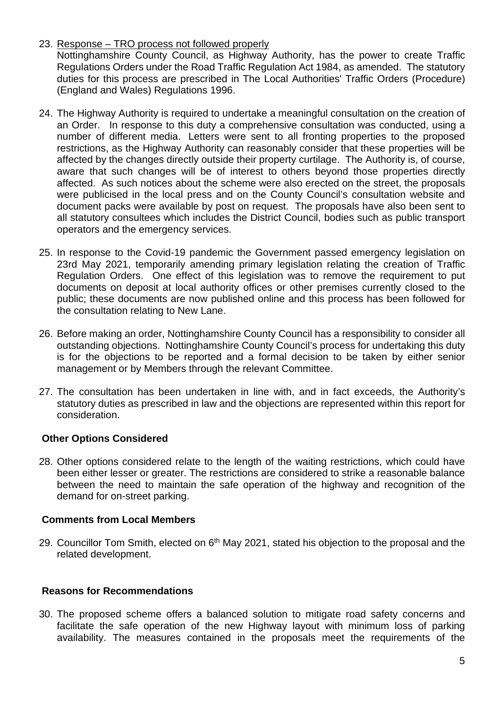23. Response – TRO process not followed properly

Nottinghamshire County Council, as Highway Authority, has the power to create Traffic Regulations Orders under the Road Traffic Regulation Act 1984, as amended. The statutory duties for this process are prescribed in The Local Authorities' Traffic Orders (Procedure) (England and Wales) Regulations 1996.

- 24. The Highway Authority is required to undertake a meaningful consultation on the creation of an Order. In response to this duty a comprehensive consultation was conducted, using a number of different media. Letters were sent to all fronting properties to the proposed restrictions, as the Highway Authority can reasonably consider that these properties will be affected by the changes directly outside their property curtilage. The Authority is, of course, aware that such changes will be of interest to others beyond those properties directly affected. As such notices about the scheme were also erected on the street, the proposals were publicised in the local press and on the County Council's consultation website and document packs were available by post on request. The proposals have also been sent to all statutory consultees which includes the District Council, bodies such as public transport operators and the emergency services.
- 25. In response to the Covid-19 pandemic the Government passed emergency legislation on 23rd May 2021, temporarily amending primary legislation relating the creation of Traffic Regulation Orders. One effect of this legislation was to remove the requirement to put documents on deposit at local authority offices or other premises currently closed to the public; these documents are now published online and this process has been followed for the consultation relating to New Lane.
- 26. Before making an order, Nottinghamshire County Council has a responsibility to consider all outstanding objections. Nottinghamshire County Council's process for undertaking this duty is for the objections to be reported and a formal decision to be taken by either senior management or by Members through the relevant Committee.
- 27. The consultation has been undertaken in line with, and in fact exceeds, the Authority's statutory duties as prescribed in law and the objections are represented within this report for consideration.

# **Other Options Considered**

28. Other options considered relate to the length of the waiting restrictions, which could have been either lesser or greater. The restrictions are considered to strike a reasonable balance between the need to maintain the safe operation of the highway and recognition of the demand for on-street parking.

#### **Comments from Local Members**

29. Councillor Tom Smith, elected on 6<sup>th</sup> May 2021, stated his objection to the proposal and the related development.

# **Reasons for Recommendations**

30. The proposed scheme offers a balanced solution to mitigate road safety concerns and facilitate the safe operation of the new Highway layout with minimum loss of parking availability. The measures contained in the proposals meet the requirements of the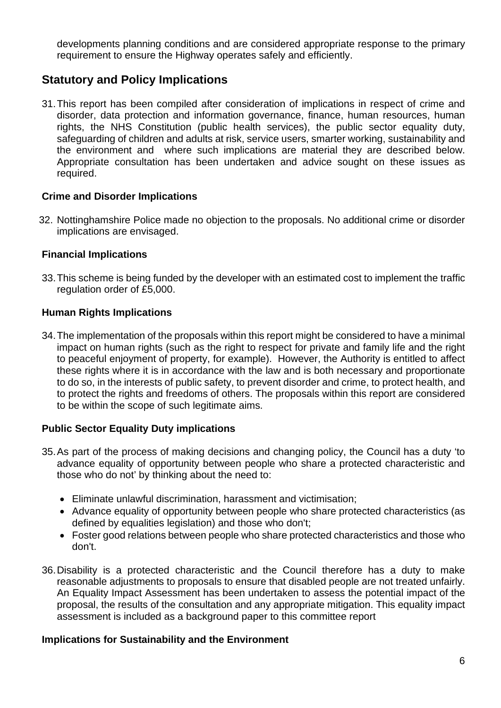developments planning conditions and are considered appropriate response to the primary requirement to ensure the Highway operates safely and efficiently.

# **Statutory and Policy Implications**

31.This report has been compiled after consideration of implications in respect of crime and disorder, data protection and information governance, finance, human resources, human rights, the NHS Constitution (public health services), the public sector equality duty, safeguarding of children and adults at risk, service users, smarter working, sustainability and the environment and where such implications are material they are described below. Appropriate consultation has been undertaken and advice sought on these issues as required.

### **Crime and Disorder Implications**

32. Nottinghamshire Police made no objection to the proposals. No additional crime or disorder implications are envisaged.

### **Financial Implications**

33.This scheme is being funded by the developer with an estimated cost to implement the traffic regulation order of £5,000.

### **Human Rights Implications**

34.The implementation of the proposals within this report might be considered to have a minimal impact on human rights (such as the right to respect for private and family life and the right to peaceful enjoyment of property, for example). However, the Authority is entitled to affect these rights where it is in accordance with the law and is both necessary and proportionate to do so, in the interests of public safety, to prevent disorder and crime, to protect health, and to protect the rights and freedoms of others. The proposals within this report are considered to be within the scope of such legitimate aims.

# **Public Sector Equality Duty implications**

- 35.As part of the process of making decisions and changing policy, the Council has a duty 'to advance equality of opportunity between people who share a protected characteristic and those who do not' by thinking about the need to:
	- Eliminate unlawful discrimination, harassment and victimisation;
	- Advance equality of opportunity between people who share protected characteristics (as defined by equalities legislation) and those who don't;
	- Foster good relations between people who share protected characteristics and those who don't.
- 36.Disability is a protected characteristic and the Council therefore has a duty to make reasonable adjustments to proposals to ensure that disabled people are not treated unfairly. An Equality Impact Assessment has been undertaken to assess the potential impact of the proposal, the results of the consultation and any appropriate mitigation. This equality impact assessment is included as a background paper to this committee report

#### **Implications for Sustainability and the Environment**